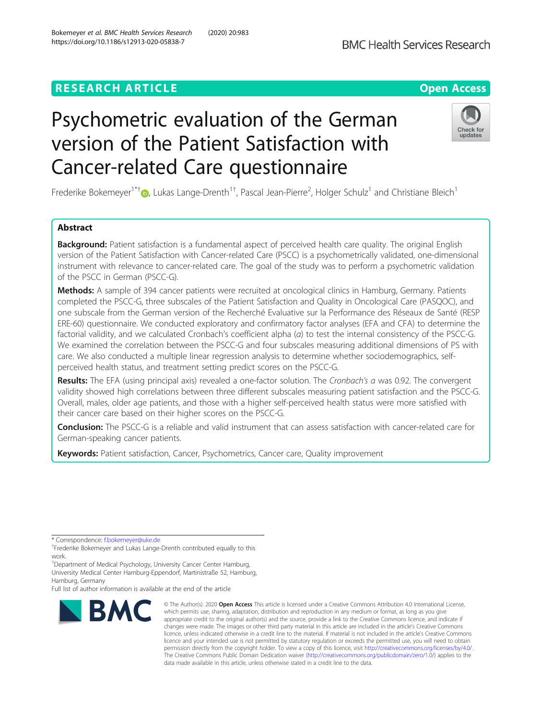## **RESEARCH ARTICLE Example 2014 12:30 The Contract of Contract ACCESS**

# Psychometric evaluation of the German version of the Patient Satisfaction with Cancer-related Care questionnaire

Frederike Bokemeyer<sup>1\*†</sup> <sub>(D</sub>[,](http://orcid.org/0000-0001-6299-4088) Lukas Lange-Drenth<sup>1+</sup>, Pascal Jean-Pierre<sup>2</sup>, Holger Schulz<sup>1</sup> and Christiane Bleich<sup>1</sup>

## Abstract

Background: Patient satisfaction is a fundamental aspect of perceived health care quality. The original English version of the Patient Satisfaction with Cancer-related Care (PSCC) is a psychometrically validated, one-dimensional instrument with relevance to cancer-related care. The goal of the study was to perform a psychometric validation of the PSCC in German (PSCC-G).

Methods: A sample of 394 cancer patients were recruited at oncological clinics in Hamburg, Germany. Patients completed the PSCC-G, three subscales of the Patient Satisfaction and Quality in Oncological Care (PASQOC), and one subscale from the German version of the Recherché Evaluative sur la Performance des Réseaux de Santé (RESP ERE-60) questionnaire. We conducted exploratory and confirmatory factor analyses (EFA and CFA) to determine the factorial validity, and we calculated Cronbach's coefficient alpha (α) to test the internal consistency of the PSCC-G. We examined the correlation between the PSCC-G and four subscales measuring additional dimensions of PS with care. We also conducted a multiple linear regression analysis to determine whether sociodemographics, selfperceived health status, and treatment setting predict scores on the PSCC-G.

Results: The EFA (using principal axis) revealed a one-factor solution. The Cronbach's a was 0.92. The convergent validity showed high correlations between three different subscales measuring patient satisfaction and the PSCC-G. Overall, males, older age patients, and those with a higher self-perceived health status were more satisfied with their cancer care based on their higher scores on the PSCC-G.

Conclusion: The PSCC-G is a reliable and valid instrument that can assess satisfaction with cancer-related care for German-speaking cancer patients.

Keywords: Patient satisfaction, Cancer, Psychometrics, Cancer care, Quality improvement

\* Correspondence: [f.bokemeyer@uke.de](mailto:f.bokemeyer@uke.de) †

**BMC** 

<sup>1</sup>Department of Medical Psychology, University Cancer Center Hamburg, University Medical Center Hamburg-Eppendorf, Martinistraße 52, Hamburg, Hamburg, Germany

Full list of author information is available at the end of the article

#### © The Author(s), 2020 **Open Access** This article is licensed under a Creative Commons Attribution 4.0 International License, which permits use, sharing, adaptation, distribution and reproduction in any medium or format, as long as you give appropriate credit to the original author(s) and the source, provide a link to the Creative Commons licence, and indicate if changes were made. The images or other third party material in this article are included in the article's Creative Commons licence, unless indicated otherwise in a credit line to the material. If material is not included in the article's Creative Commons licence and your intended use is not permitted by statutory regulation or exceeds the permitted use, you will need to obtain permission directly from the copyright holder. To view a copy of this licence, visit [http://creativecommons.org/licenses/by/4.0/.](http://creativecommons.org/licenses/by/4.0/) The Creative Commons Public Domain Dedication waiver [\(http://creativecommons.org/publicdomain/zero/1.0/](http://creativecommons.org/publicdomain/zero/1.0/)) applies to the data made available in this article, unless otherwise stated in a credit line to the data.

https://doi.org/10.1186/s12913-020-05838-7



**BMC Health Services Research** 



<sup>&</sup>lt;sup>+</sup>Frederike Bokemeyer and Lukas Lange-Drenth contributed equally to this work.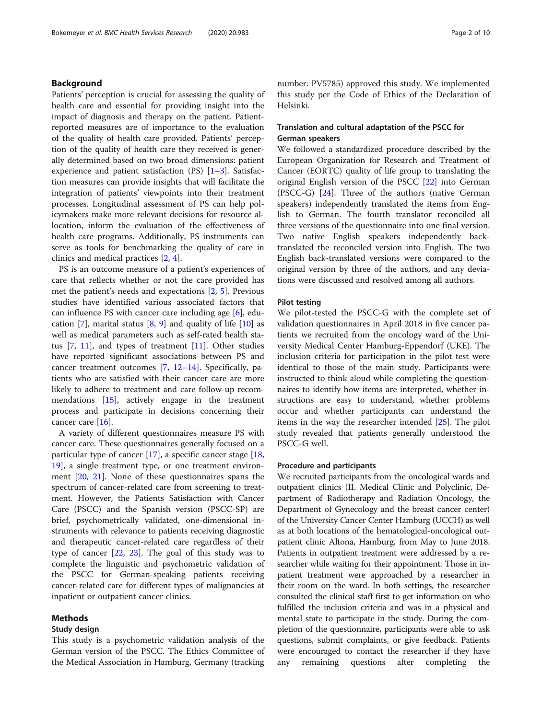## Background

Patients' perception is crucial for assessing the quality of health care and essential for providing insight into the impact of diagnosis and therapy on the patient. Patientreported measures are of importance to the evaluation of the quality of health care provided. Patients' perception of the quality of health care they received is generally determined based on two broad dimensions: patient experience and patient satisfaction  $(PS)$   $[1-3]$  $[1-3]$  $[1-3]$ . Satisfaction measures can provide insights that will facilitate the integration of patients' viewpoints into their treatment processes. Longitudinal assessment of PS can help policymakers make more relevant decisions for resource allocation, inform the evaluation of the effectiveness of health care programs. Additionally, PS instruments can serve as tools for benchmarking the quality of care in clinics and medical practices [[2,](#page-8-0) [4\]](#page-8-0).

PS is an outcome measure of a patient's experiences of care that reflects whether or not the care provided has met the patient's needs and expectations [[2,](#page-8-0) [5](#page-8-0)]. Previous studies have identified various associated factors that can influence PS with cancer care including age [[6\]](#page-8-0), edu-cation [\[7](#page-8-0)], marital status  $[8, 9]$  $[8, 9]$  $[8, 9]$  and quality of life [[10\]](#page-8-0) as well as medical parameters such as self-rated health status [[7,](#page-8-0) [11](#page-8-0)], and types of treatment [[11\]](#page-8-0). Other studies have reported significant associations between PS and cancer treatment outcomes [[7,](#page-8-0) [12](#page-8-0)–[14\]](#page-8-0). Specifically, patients who are satisfied with their cancer care are more likely to adhere to treatment and care follow-up recommendations [[15](#page-8-0)], actively engage in the treatment process and participate in decisions concerning their cancer care [\[16](#page-8-0)].

A variety of different questionnaires measure PS with cancer care. These questionnaires generally focused on a particular type of cancer  $[17]$  $[17]$ , a specific cancer stage  $[18]$  $[18]$  $[18]$ , [19\]](#page-8-0), a single treatment type, or one treatment environment [[20](#page-8-0), [21\]](#page-8-0). None of these questionnaires spans the spectrum of cancer-related care from screening to treatment. However, the Patients Satisfaction with Cancer Care (PSCC) and the Spanish version (PSCC-SP) are brief, psychometrically validated, one-dimensional instruments with relevance to patients receiving diagnostic and therapeutic cancer-related care regardless of their type of cancer [[22](#page-8-0), [23\]](#page-8-0). The goal of this study was to complete the linguistic and psychometric validation of the PSCC for German-speaking patients receiving cancer-related care for different types of malignancies at inpatient or outpatient cancer clinics.

## Methods

## Study design

This study is a psychometric validation analysis of the German version of the PSCC. The Ethics Committee of the Medical Association in Hamburg, Germany (tracking number: PV5785) approved this study. We implemented this study per the Code of Ethics of the Declaration of Helsinki.

## Translation and cultural adaptation of the PSCC for German speakers

We followed a standardized procedure described by the European Organization for Research and Treatment of Cancer (EORTC) quality of life group to translating the original English version of the PSCC [[22\]](#page-8-0) into German (PSCC-G) [\[24](#page-8-0)]. Three of the authors (native German speakers) independently translated the items from English to German. The fourth translator reconciled all three versions of the questionnaire into one final version. Two native English speakers independently backtranslated the reconciled version into English. The two English back-translated versions were compared to the original version by three of the authors, and any deviations were discussed and resolved among all authors.

## Pilot testing

We pilot-tested the PSCC-G with the complete set of validation questionnaires in April 2018 in five cancer patients we recruited from the oncology ward of the University Medical Center Hamburg-Eppendorf (UKE). The inclusion criteria for participation in the pilot test were identical to those of the main study. Participants were instructed to think aloud while completing the questionnaires to identify how items are interpreted, whether instructions are easy to understand, whether problems occur and whether participants can understand the items in the way the researcher intended [[25](#page-8-0)]. The pilot study revealed that patients generally understood the PSCC-G well.

## Procedure and participants

We recruited participants from the oncological wards and outpatient clinics (II. Medical Clinic and Polyclinic, Department of Radiotherapy and Radiation Oncology, the Department of Gynecology and the breast cancer center) of the University Cancer Center Hamburg (UCCH) as well as at both locations of the hematological-oncological outpatient clinic Altona, Hamburg, from May to June 2018. Patients in outpatient treatment were addressed by a researcher while waiting for their appointment. Those in inpatient treatment were approached by a researcher in their room on the ward. In both settings, the researcher consulted the clinical staff first to get information on who fulfilled the inclusion criteria and was in a physical and mental state to participate in the study. During the completion of the questionnaire, participants were able to ask questions, submit complaints, or give feedback. Patients were encouraged to contact the researcher if they have any remaining questions after completing the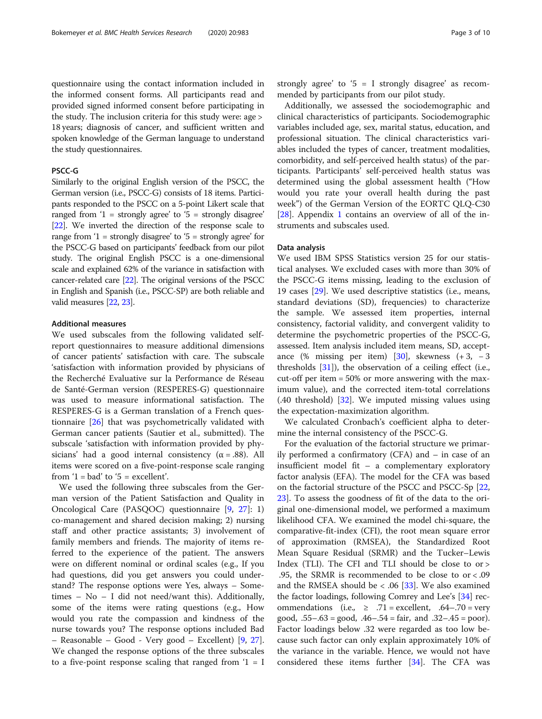questionnaire using the contact information included in the informed consent forms. All participants read and provided signed informed consent before participating in the study. The inclusion criteria for this study were: age > 18 years; diagnosis of cancer, and sufficient written and spoken knowledge of the German language to understand the study questionnaires.

## PSCC-G

Similarly to the original English version of the PSCC, the German version (i.e., PSCC-G) consists of 18 items. Participants responded to the PSCC on a 5-point Likert scale that ranged from  $1 =$  strongly agree' to  $5 =$  strongly disagree' [[22](#page-8-0)]. We inverted the direction of the response scale to range from  $1 =$  strongly disagree' to  $5 =$  strongly agree' for the PSCC-G based on participants' feedback from our pilot study. The original English PSCC is a one-dimensional scale and explained 62% of the variance in satisfaction with cancer-related care [\[22\]](#page-8-0). The original versions of the PSCC in English and Spanish (i.e., PSCC-SP) are both reliable and valid measures [[22](#page-8-0), [23](#page-8-0)].

## Additional measures

We used subscales from the following validated selfreport questionnaires to measure additional dimensions of cancer patients' satisfaction with care. The subscale 'satisfaction with information provided by physicians of the Recherché Evaluative sur la Performance de Réseau de Santé-German version (RESPERES-G) questionnaire was used to measure informational satisfaction. The RESPERES-G is a German translation of a French questionnaire [\[26\]](#page-8-0) that was psychometrically validated with German cancer patients (Sautier et al., submitted). The subscale 'satisfaction with information provided by physicians' had a good internal consistency ( $\alpha$  = .88). All items were scored on a five-point-response scale ranging from '1 = bad' to '5 =  $excellent'$ .

We used the following three subscales from the German version of the Patient Satisfaction and Quality in Oncological Care (PASQOC) questionnaire [[9,](#page-8-0) [27\]](#page-8-0): 1) co-management and shared decision making; 2) nursing staff and other practice assistants; 3) involvement of family members and friends. The majority of items referred to the experience of the patient. The answers were on different nominal or ordinal scales (e.g., If you had questions, did you get answers you could understand? The response options were Yes, always – Sometimes –  $No - I$  did not need/want this). Additionally, some of the items were rating questions (e.g., How would you rate the compassion and kindness of the nurse towards you? The response options included Bad – Reasonable – Good - Very good – Excellent) [\[9](#page-8-0), [27](#page-8-0)]. We changed the response options of the three subscales to a five-point response scaling that ranged from  $1 = I$  strongly agree' to ' $5 = I$  strongly disagree' as recommended by participants from our pilot study.

Additionally, we assessed the sociodemographic and clinical characteristics of participants. Sociodemographic variables included age, sex, marital status, education, and professional situation. The clinical characteristics variables included the types of cancer, treatment modalities, comorbidity, and self-perceived health status) of the participants. Participants' self-perceived health status was determined using the global assessment health ("How would you rate your overall health during the past week") of the German Version of the EORTC QLQ-C30 [[28\]](#page-8-0). Appendix [1](#page-7-0) contains an overview of all of the instruments and subscales used.

## Data analysis

We used IBM SPSS Statistics version 25 for our statistical analyses. We excluded cases with more than 30% of the PSCC-G items missing, leading to the exclusion of 19 cases [[29](#page-8-0)]. We used descriptive statistics (i.e., means, standard deviations (SD), frequencies) to characterize the sample. We assessed item properties, internal consistency, factorial validity, and convergent validity to determine the psychometric properties of the PSCC-G, assessed. Item analysis included item means, SD, accept-ance (% missing per item) [[30](#page-9-0)], skewness  $(+3, -3)$ thresholds  $[31]$  $[31]$ ), the observation of a ceiling effect (i.e., cut-off per item = 50% or more answering with the maximum value), and the corrected item-total correlations (.40 threshold) [\[32\]](#page-9-0). We imputed missing values using the expectation-maximization algorithm.

We calculated Cronbach's coefficient alpha to determine the internal consistency of the PSCC-G.

For the evaluation of the factorial structure we primarily performed a confirmatory (CFA) and – in case of an insufficient model fit – a complementary exploratory factor analysis (EFA). The model for the CFA was based on the factorial structure of the PSCC and PSCC-Sp [[22](#page-8-0), [23\]](#page-8-0). To assess the goodness of fit of the data to the original one-dimensional model, we performed a maximum likelihood CFA. We examined the model chi-square, the comparative-fit-index (CFI), the root mean square error of approximation (RMSEA), the Standardized Root Mean Square Residual (SRMR) and the Tucker–Lewis Index (TLI). The CFI and TLI should be close to or > .95, the SRMR is recommended to be close to or < .09 and the RMSEA should be  $< .06$  [\[33](#page-9-0)]. We also examined the factor loadings, following Comrey and Lee's [[34](#page-9-0)] recommendations (i.e.,  $\ge$  .71 = excellent, .64–.70 = very good, .55–.63 = good, .46–.54 = fair, and .32–.45 = poor). Factor loadings below .32 were regarded as too low because such factor can only explain approximately 10% of the variance in the variable. Hence, we would not have considered these items further  $[34]$ . The CFA was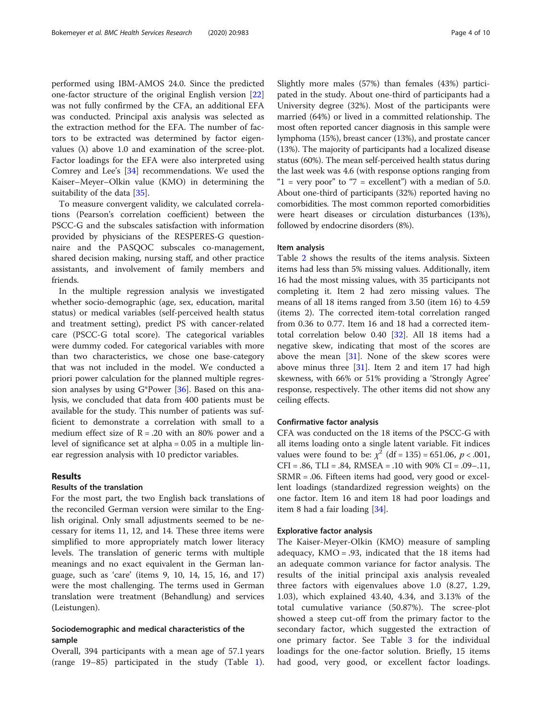performed using IBM-AMOS 24.0. Since the predicted one-factor structure of the original English version [[22](#page-8-0)] was not fully confirmed by the CFA, an additional EFA was conducted. Principal axis analysis was selected as the extraction method for the EFA. The number of factors to be extracted was determined by factor eigenvalues (λ) above 1.0 and examination of the scree-plot. Factor loadings for the EFA were also interpreted using Comrey and Lee's [[34](#page-9-0)] recommendations. We used the Kaiser–Meyer–Olkin value (KMO) in determining the suitability of the data [\[35](#page-9-0)].

To measure convergent validity, we calculated correlations (Pearson's correlation coefficient) between the PSCC-G and the subscales satisfaction with information provided by physicians of the RESPERES-G questionnaire and the PASQOC subscales co-management, shared decision making, nursing staff, and other practice assistants, and involvement of family members and friends.

In the multiple regression analysis we investigated whether socio-demographic (age, sex, education, marital status) or medical variables (self-perceived health status and treatment setting), predict PS with cancer-related care (PSCC-G total score). The categorical variables were dummy coded. For categorical variables with more than two characteristics, we chose one base-category that was not included in the model. We conducted a priori power calculation for the planned multiple regression analyses by using G\*Power [[36\]](#page-9-0). Based on this analysis, we concluded that data from 400 patients must be available for the study. This number of patients was sufficient to demonstrate a correlation with small to a medium effect size of  $R = .20$  with an 80% power and a level of significance set at alpha = 0.05 in a multiple linear regression analysis with 10 predictor variables.

## Results

## Results of the translation

For the most part, the two English back translations of the reconciled German version were similar to the English original. Only small adjustments seemed to be necessary for items 11, 12, and 14. These three items were simplified to more appropriately match lower literacy levels. The translation of generic terms with multiple meanings and no exact equivalent in the German language, such as 'care' (items 9, 10, 14, 15, 16, and 17) were the most challenging. The terms used in German translation were treatment (Behandlung) and services (Leistungen).

## Sociodemographic and medical characteristics of the sample

Overall, 394 participants with a mean age of 57.1 years (range 19–85) participated in the study (Table [1](#page-4-0)). Slightly more males (57%) than females (43%) participated in the study. About one-third of participants had a University degree (32%). Most of the participants were married (64%) or lived in a committed relationship. The most often reported cancer diagnosis in this sample were lymphoma (15%), breast cancer (13%), and prostate cancer (13%). The majority of participants had a localized disease status (60%). The mean self-perceived health status during the last week was 4.6 (with response options ranging from " $1 = \text{very poor" to "7 = excellent") with a median of 5.0.}$ About one-third of participants (32%) reported having no comorbidities. The most common reported comorbidities were heart diseases or circulation disturbances (13%), followed by endocrine disorders (8%).

## Item analysis

Table [2](#page-5-0) shows the results of the items analysis. Sixteen items had less than 5% missing values. Additionally, item 16 had the most missing values, with 35 participants not completing it. Item 2 had zero missing values. The means of all 18 items ranged from 3.50 (item 16) to 4.59 (items 2). The corrected item-total correlation ranged from 0.36 to 0.77. Item 16 and 18 had a corrected itemtotal correlation below 0.40 [\[32](#page-9-0)]. All 18 items had a negative skew, indicating that most of the scores are above the mean  $[31]$ . None of the skew scores were above minus three  $[31]$  $[31]$ . Item 2 and item 17 had high skewness, with 66% or 51% providing a 'Strongly Agree' response, respectively. The other items did not show any ceiling effects.

## Confirmative factor analysis

CFA was conducted on the 18 items of the PSCC-G with all items loading onto a single latent variable. Fit indices values were found to be:  $\chi^2$  (df = 135) = 651.06, p < .001, CFI = .86, TLI = .84, RMSEA = .10 with  $90\%$  CI = .09-.11, SRMR = .06. Fifteen items had good, very good or excellent loadings (standardized regression weights) on the one factor. Item 16 and item 18 had poor loadings and item 8 had a fair loading [[34](#page-9-0)].

#### Explorative factor analysis

The Kaiser-Meyer-Olkin (KMO) measure of sampling adequacy, KMO = .93, indicated that the 18 items had an adequate common variance for factor analysis. The results of the initial principal axis analysis revealed three factors with eigenvalues above 1.0 (8.27, 1.29, 1.03), which explained 43.40, 4.34, and 3.13% of the total cumulative variance (50.87%). The scree-plot showed a steep cut-off from the primary factor to the secondary factor, which suggested the extraction of one primary factor. See Table [3](#page-5-0) for the individual loadings for the one-factor solution. Briefly, 15 items had good, very good, or excellent factor loadings.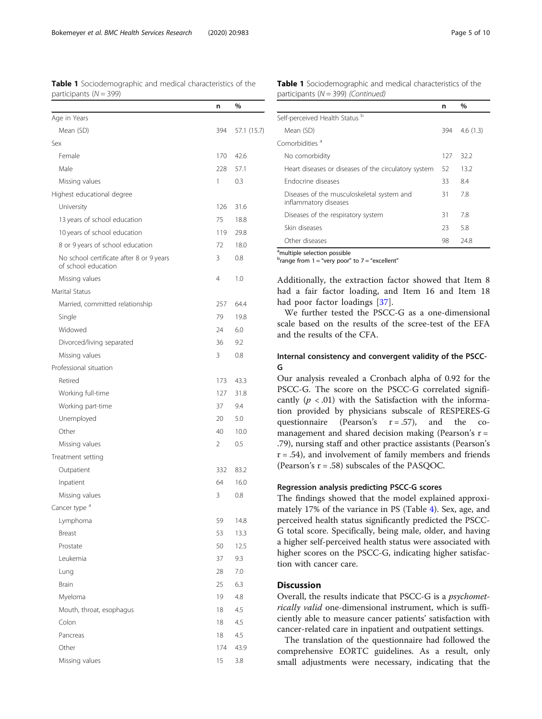<span id="page-4-0"></span>Table 1 Sociodemographic and medical characteristics of the participants ( $N = 399$ )

| <b>Table 1</b> Sociodemographic and medical characteristics of the |
|--------------------------------------------------------------------|
| participants ( $N = 399$ ) (Continued)                             |

|                                                                 | n   | %           |
|-----------------------------------------------------------------|-----|-------------|
| Age in Years                                                    |     |             |
| Mean (SD)                                                       | 394 | 57.1 (15.7) |
| Sex                                                             |     |             |
| Female                                                          | 170 | 42.6        |
| Male                                                            | 228 | 57.1        |
| Missing values                                                  | 1   | 0.3         |
| Highest educational degree                                      |     |             |
| University                                                      | 126 | 31.6        |
| 13 years of school education                                    | 75  | 18.8        |
| 10 years of school education                                    | 119 | 29.8        |
| 8 or 9 years of school education                                | 72  | 18.0        |
| No school certificate after 8 or 9 years<br>of school education | 3   | 0.8         |
| Missing values                                                  | 4   | 1.0         |
| Marital Status                                                  |     |             |
| Married, committed relationship                                 | 257 | 64.4        |
| Single                                                          | 79  | 19.8        |
| Widowed                                                         | 24  | 6.0         |
| Divorced/living separated                                       | 36  | 9.2         |
| Missing values                                                  | 3   | 0.8         |
| Professional situation                                          |     |             |
| Retired                                                         | 173 | 43.3        |
| Working full-time                                               | 127 | 31.8        |
| Working part-time                                               | 37  | 9.4         |
| Unemployed                                                      | 20  | 5.0         |
| Other                                                           | 40  | 10.0        |
| Missing values                                                  | 2   | 0.5         |
| Treatment setting                                               |     |             |
| Outpatient                                                      | 332 | 83.2        |
| Inpatient                                                       | 64  | 16.0        |
| Missing values                                                  | 3   | 0.8         |
| Cancer type <sup>a</sup>                                        |     |             |
| Lymphoma                                                        | 59  | 14.8        |
| Breast                                                          | 53  | 13.3        |
| Prostate                                                        | 50  | 12.5        |
| Leukemia                                                        | 37  | 9.3         |
| Lung                                                            | 28  | 7.0         |
| Brain                                                           | 25  | 6.3         |
| Myeloma                                                         | 19  | 4.8         |
| Mouth, throat, esophagus                                        | 18  | 4.5         |
| Colon                                                           | 18  | 4.5         |
| Pancreas                                                        | 18  | 4.5         |
| Other                                                           | 174 | 43.9        |
| Missing values                                                  | 15  | 3.8         |
|                                                                 |     |             |

n % Self-perceived Health Status b Mean (SD) 394 4.6 (1.3) Comorbidities<sup>a</sup> No comorbidity 127 32.2 Heart diseases or diseases of the circulatory system 52 13.2 Endocrine diseases 33 8.4 Diseases of the musculoskeletal system and inflammatory diseases 31 7.8 Diseases of the respiratory system 31 7.8 Skin diseases 23 5.8 Other diseases 98 24.8

<sup>a</sup>multiple selection possible

 $<sup>b</sup>$ range from 1 = "very poor" to 7 = "excellent"</sup>

Additionally, the extraction factor showed that Item 8 had a fair factor loading, and Item 16 and Item 18 had poor factor loadings [[37\]](#page-9-0).

We further tested the PSCC-G as a one-dimensional scale based on the results of the scree-test of the EFA and the results of the CFA.

## Internal consistency and convergent validity of the PSCC-G

Our analysis revealed a Cronbach alpha of 0.92 for the PSCC-G. The score on the PSCC-G correlated significantly  $(p < .01)$  with the Satisfaction with the information provided by physicians subscale of RESPERES-G questionnaire (Pearson's  $r = .57$ ), and the comanagement and shared decision making (Pearson's  $r =$ .79), nursing staff and other practice assistants (Pearson's  $r = .54$ ), and involvement of family members and friends (Pearson's  $r = .58$ ) subscales of the PASQOC.

## Regression analysis predicting PSCC-G scores

The findings showed that the model explained approximately 17% of the variance in PS (Table [4](#page-6-0)). Sex, age, and perceived health status significantly predicted the PSCC-G total score. Specifically, being male, older, and having a higher self-perceived health status were associated with higher scores on the PSCC-G, indicating higher satisfaction with cancer care.

## **Discussion**

Overall, the results indicate that PSCC-G is a psychometrically valid one-dimensional instrument, which is sufficiently able to measure cancer patients' satisfaction with cancer-related care in inpatient and outpatient settings.

The translation of the questionnaire had followed the comprehensive EORTC guidelines. As a result, only small adjustments were necessary, indicating that the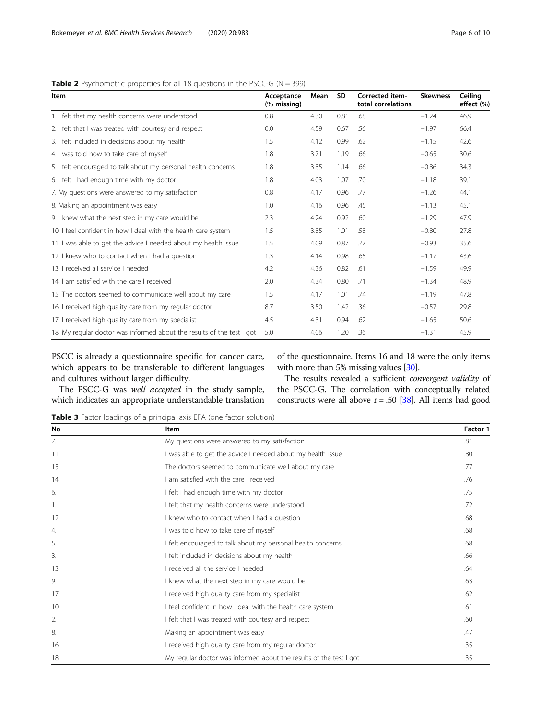<span id="page-5-0"></span>

| Item                                                                   | Acceptance<br>$%$ missing) | Mean | <b>SD</b> | Corrected item-<br>total correlations | <b>Skewness</b> | Ceiling<br>effect (%) |
|------------------------------------------------------------------------|----------------------------|------|-----------|---------------------------------------|-----------------|-----------------------|
| 1. I felt that my health concerns were understood                      | 0.8                        | 4.30 | 0.81      | .68                                   | $-1.24$         | 46.9                  |
| 2. I felt that I was treated with courtesy and respect                 | 0.0                        | 4.59 | 0.67      | .56                                   | $-1.97$         | 66.4                  |
| 3. I felt included in decisions about my health                        | 1.5                        | 4.12 | 0.99      | .62                                   | $-1.15$         | 42.6                  |
| 4. I was told how to take care of myself                               | 1.8                        | 3.71 | 1.19      | .66                                   | $-0.65$         | 30.6                  |
| 5. I felt encouraged to talk about my personal health concerns         | 1.8                        | 3.85 | 1.14      | .66                                   | $-0.86$         | 34.3                  |
| 6. I felt I had enough time with my doctor                             | 1.8                        | 4.03 | 1.07      | .70                                   | $-1.18$         | 39.1                  |
| 7. My questions were answered to my satisfaction                       | 0.8                        | 4.17 | 0.96      | .77                                   | $-1.26$         | 44.1                  |
| 8. Making an appointment was easy                                      | 1.0                        | 4.16 | 0.96      | .45                                   | $-1.13$         | 45.1                  |
| 9. I knew what the next step in my care would be                       | 2.3                        | 4.24 | 0.92      | .60                                   | $-1.29$         | 47.9                  |
| 10. I feel confident in how I deal with the health care system         | 1.5                        | 3.85 | 1.01      | .58                                   | $-0.80$         | 27.8                  |
| 11. I was able to get the advice I needed about my health issue        | 1.5                        | 4.09 | 0.87      | .77                                   | $-0.93$         | 35.6                  |
| 12. I knew who to contact when I had a question                        | 1.3                        | 4.14 | 0.98      | .65                                   | $-1.17$         | 43.6                  |
| 13. I received all service I needed                                    | 4.2                        | 4.36 | 0.82      | .61                                   | $-1.59$         | 49.9                  |
| 14. I am satisfied with the care I received                            | 2.0                        | 4.34 | 0.80      | .71                                   | $-1.34$         | 48.9                  |
| 15. The doctors seemed to communicate well about my care               | 1.5                        | 4.17 | 1.01      | .74                                   | $-1.19$         | 47.8                  |
| 16. I received high quality care from my regular doctor                | 8.7                        | 3.50 | 1.42      | .36                                   | $-0.57$         | 29.8                  |
| 17. I received high quality care from my specialist                    | 4.5                        | 4.31 | 0.94      | .62                                   | $-1.65$         | 50.6                  |
| 18. My regular doctor was informed about the results of the test I got | 5.0                        | 4.06 | 1.20      | .36                                   | $-1.31$         | 45.9                  |

PSCC is already a questionnaire specific for cancer care, which appears to be transferable to different languages and cultures without larger difficulty.

of the questionnaire. Items 16 and 18 were the only items with more than 5% missing values [[30](#page-9-0)].

The PSCC-G was well accepted in the study sample, which indicates an appropriate understandable translation

The results revealed a sufficient convergent validity of the PSCC-G. The correlation with conceptually related constructs were all above  $r = .50$  [\[38\]](#page-9-0). All items had good

| Table 3 Factor loadings of a principal axis EFA (one factor solution) |  |  |  |  |
|-----------------------------------------------------------------------|--|--|--|--|
|                                                                       |  |  |  |  |

| No  | Item                                                               | Factor 1 |
|-----|--------------------------------------------------------------------|----------|
| 7.  | My questions were answered to my satisfaction                      | .81      |
| 11. | I was able to get the advice I needed about my health issue        | .80      |
| 15. | The doctors seemed to communicate well about my care               | .77      |
| 14. | I am satisfied with the care I received                            | .76      |
| 6.  | I felt I had enough time with my doctor                            | .75      |
| 1.  | I felt that my health concerns were understood                     | .72      |
| 12. | I knew who to contact when I had a question                        | .68      |
| 4.  | I was told how to take care of myself                              | .68      |
| 5.  | I felt encouraged to talk about my personal health concerns        | .68      |
| 3.  | I felt included in decisions about my health                       | .66      |
| 13. | I received all the service I needed                                | .64      |
| 9.  | I knew what the next step in my care would be                      | .63      |
| 17. | I received high quality care from my specialist                    | .62      |
| 10. | I feel confident in how I deal with the health care system         | .61      |
| 2.  | I felt that I was treated with courtesy and respect                | .60      |
| 8.  | Making an appointment was easy                                     | .47      |
| 16. | I received high quality care from my regular doctor                | .35      |
| 18. | My regular doctor was informed about the results of the test I got | .35      |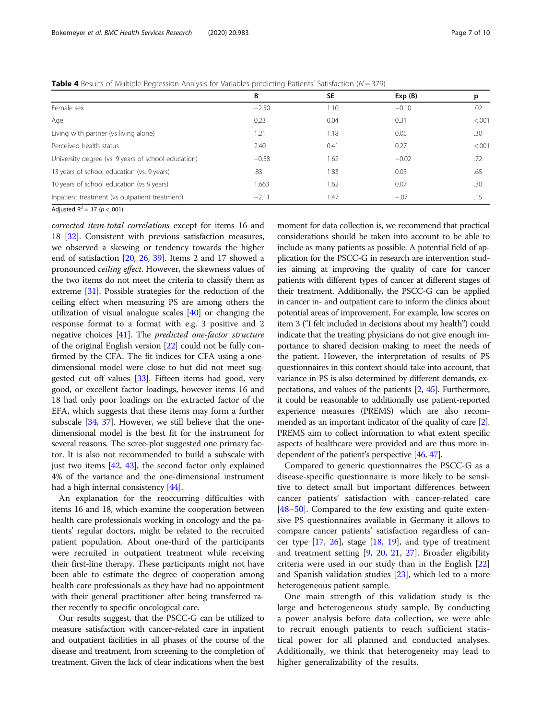<span id="page-6-0"></span>

|  |  | Table 4 Results of Multiple Regression Analysis for Variables predicting Patients' Satisfaction (N = 379) |  |  |
|--|--|-----------------------------------------------------------------------------------------------------------|--|--|
|  |  |                                                                                                           |  |  |

|                                                     | В       | SE   | Exp(B)  | p       |
|-----------------------------------------------------|---------|------|---------|---------|
| Female sex                                          | $-2.50$ | 1.10 | $-0.10$ | .02     |
| Age                                                 | 0.23    | 0.04 | 0.31    | < 0.001 |
| Living with partner (vs living alone)               | 1.21    | 1.18 | 0.05    | .30     |
| Perceived health status                             | 2.40    | 0.41 | 0.27    | < 0.001 |
| University degree (vs. 9 years of school education) | $-0.58$ | 1.62 | $-0.02$ | .72     |
| 13 years of school education (vs. 9 years)          | .83     | 1.83 | 0.03    | .65     |
| 10 years of school education (vs 9 years)           | 1.663   | 1.62 | 0.07    | .30     |
| Inpatient treatment (vs outpatient treatment)       | $-2.11$ | 1.47 | $-.07$  | .15     |

Adjusted  $R^2 = .17$  ( $p < .001$ )

corrected item-total correlations except for items 16 and 18 [\[32\]](#page-9-0). Consistent with previous satisfaction measures, we observed a skewing or tendency towards the higher end of satisfaction [[20](#page-8-0), [26,](#page-8-0) [39\]](#page-9-0). Items 2 and 17 showed a pronounced ceiling effect. However, the skewness values of the two items do not meet the criteria to classify them as extreme [\[31\]](#page-9-0). Possible strategies for the reduction of the ceiling effect when measuring PS are among others the utilization of visual analogue scales [\[40](#page-9-0)] or changing the response format to a format with e.g. 3 positive and 2 negative choices [[41](#page-9-0)]. The predicted one-factor structure of the original English version [\[22\]](#page-8-0) could not be fully confirmed by the CFA. The fit indices for CFA using a onedimensional model were close to but did not meet suggested cut off values [[33](#page-9-0)]. Fifteen items had good, very good, or excellent factor loadings, however items 16 and 18 had only poor loadings on the extracted factor of the EFA, which suggests that these items may form a further subscale [[34](#page-9-0), [37\]](#page-9-0). However, we still believe that the onedimensional model is the best fit for the instrument for several reasons. The scree-plot suggested one primary factor. It is also not recommended to build a subscale with just two items [\[42,](#page-9-0) [43](#page-9-0)], the second factor only explained 4% of the variance and the one-dimensional instrument had a high internal consistency [\[44\]](#page-9-0).

An explanation for the reoccurring difficulties with items 16 and 18, which examine the cooperation between health care professionals working in oncology and the patients' regular doctors, might be related to the recruited patient population. About one-third of the participants were recruited in outpatient treatment while receiving their first-line therapy. These participants might not have been able to estimate the degree of cooperation among health care professionals as they have had no appointment with their general practitioner after being transferred rather recently to specific oncological care.

Our results suggest, that the PSCC-G can be utilized to measure satisfaction with cancer-related care in inpatient and outpatient facilities in all phases of the course of the disease and treatment, from screening to the completion of treatment. Given the lack of clear indications when the best moment for data collection is, we recommend that practical considerations should be taken into account to be able to include as many patients as possible. A potential field of application for the PSCC-G in research are intervention studies aiming at improving the quality of care for cancer patients with different types of cancer at different stages of their treatment. Additionally, the PSCC-G can be applied in cancer in- and outpatient care to inform the clinics about potential areas of improvement. For example, low scores on item 3 ("I felt included in decisions about my health") could indicate that the treating physicians do not give enough importance to shared decision making to meet the needs of the patient. However, the interpretation of results of PS questionnaires in this context should take into account, that variance in PS is also determined by different demands, expectations, and values of the patients [[2](#page-8-0), [45](#page-9-0)]. Furthermore, it could be reasonable to additionally use patient-reported experience measures (PREMS) which are also recommended as an important indicator of the quality of care [[2](#page-8-0)]. PREMS aim to collect information to what extent specific aspects of healthcare were provided and are thus more independent of the patient's perspective [\[46](#page-9-0), [47](#page-9-0)].

Compared to generic questionnaires the PSCC-G as a disease-specific questionnaire is more likely to be sensitive to detect small but important differences between cancer patients' satisfaction with cancer-related care [[48](#page-9-0)–[50](#page-9-0)]. Compared to the few existing and quite extensive PS questionnaires available in Germany it allows to compare cancer patients' satisfaction regardless of cancer type  $[17, 26]$  $[17, 26]$  $[17, 26]$  $[17, 26]$ , stage  $[18, 19]$  $[18, 19]$  $[18, 19]$  $[18, 19]$ , and type of treatment and treatment setting [\[9](#page-8-0), [20](#page-8-0), [21,](#page-8-0) [27\]](#page-8-0). Broader eligibility criteria were used in our study than in the English [[22](#page-8-0)] and Spanish validation studies [\[23\]](#page-8-0), which led to a more heterogeneous patient sample.

One main strength of this validation study is the large and heterogeneous study sample. By conducting a power analysis before data collection, we were able to recruit enough patients to reach sufficient statistical power for all planned and conducted analyses. Additionally, we think that heterogeneity may lead to higher generalizability of the results.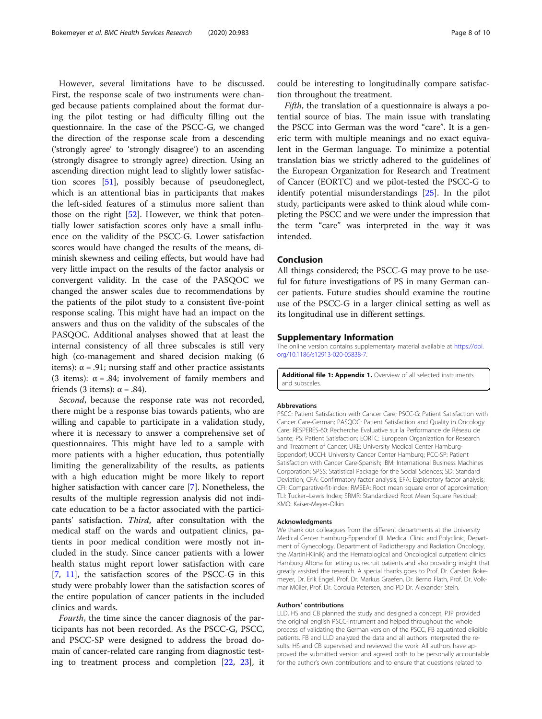<span id="page-7-0"></span>However, several limitations have to be discussed. First, the response scale of two instruments were changed because patients complained about the format during the pilot testing or had difficulty filling out the questionnaire. In the case of the PSCC-G, we changed the direction of the response scale from a descending ('strongly agree' to 'strongly disagree') to an ascending (strongly disagree to strongly agree) direction. Using an ascending direction might lead to slightly lower satisfaction scores [\[51\]](#page-9-0), possibly because of pseudoneglect, which is an attentional bias in participants that makes the left-sided features of a stimulus more salient than those on the right  $[52]$  $[52]$ . However, we think that potentially lower satisfaction scores only have a small influence on the validity of the PSCC-G. Lower satisfaction scores would have changed the results of the means, diminish skewness and ceiling effects, but would have had very little impact on the results of the factor analysis or convergent validity. In the case of the PASQOC we changed the answer scales due to recommendations by the patients of the pilot study to a consistent five-point response scaling. This might have had an impact on the answers and thus on the validity of the subscales of the PASQOC. Additional analyses showed that at least the internal consistency of all three subscales is still very high (co-management and shared decision making (6 items):  $\alpha$  = .91; nursing staff and other practice assistants (3 items):  $\alpha$  = .84; involvement of family members and friends (3 items):  $\alpha = .84$ ).

Second, because the response rate was not recorded, there might be a response bias towards patients, who are willing and capable to participate in a validation study, where it is necessary to answer a comprehensive set of questionnaires. This might have led to a sample with more patients with a higher education, thus potentially limiting the generalizability of the results, as patients with a high education might be more likely to report higher satisfaction with cancer care [\[7\]](#page-8-0). Nonetheless, the results of the multiple regression analysis did not indicate education to be a factor associated with the participants' satisfaction. Third, after consultation with the medical staff on the wards and outpatient clinics, patients in poor medical condition were mostly not included in the study. Since cancer patients with a lower health status might report lower satisfaction with care [[7,](#page-8-0) [11\]](#page-8-0), the satisfaction scores of the PSCC-G in this study were probably lower than the satisfaction scores of the entire population of cancer patients in the included clinics and wards.

Fourth, the time since the cancer diagnosis of the participants has not been recorded. As the PSCC-G, PSCC, and PSCC-SP were designed to address the broad domain of cancer-related care ranging from diagnostic testing to treatment process and completion [\[22](#page-8-0), [23\]](#page-8-0), it could be interesting to longitudinally compare satisfaction throughout the treatment.

Fifth, the translation of a questionnaire is always a potential source of bias. The main issue with translating the PSCC into German was the word "care". It is a generic term with multiple meanings and no exact equivalent in the German language. To minimize a potential translation bias we strictly adhered to the guidelines of the European Organization for Research and Treatment of Cancer (EORTC) and we pilot-tested the PSCC-G to identify potential misunderstandings [\[25](#page-8-0)]. In the pilot study, participants were asked to think aloud while completing the PSCC and we were under the impression that the term "care" was interpreted in the way it was intended.

## Conclusion

All things considered; the PSCC-G may prove to be useful for future investigations of PS in many German cancer patients. Future studies should examine the routine use of the PSCC-G in a larger clinical setting as well as its longitudinal use in different settings.

## Supplementary Information

The online version contains supplementary material available at [https://doi.](https://doi.org/10.1186/s12913-020-05838-7) [org/10.1186/s12913-020-05838-7.](https://doi.org/10.1186/s12913-020-05838-7)

Additional file 1: Appendix 1. Overview of all selected instruments and subscales.

#### Abbrevations

PSCC: Patient Satisfaction with Cancer Care; PSCC-G: Patient Satisfaction with Cancer Care-German; PASQOC: Patient Satisfaction and Quality in Oncology Care; RESPERES-60: Recherche Evaluative sur la Performance de Réseau de Sante; PS: Patient Satisfaction; EORTC: European Organization for Research and Treatment of Cancer; UKE: University Medical Center Hamburg-Eppendorf; UCCH: University Cancer Center Hamburg; PCC-SP: Patient Satisfaction with Cancer Care-Spanish; IBM: International Business Machines Corporation; SPSS: Statistical Package for the Social Sciences; SD: Standard Deviation; CFA: Confirmatory factor analysis; EFA: Exploratory factor analysis; CFI: Comparative-fit-index; RMSEA: Root mean square error of approximation; TLI: Tucker–Lewis Index; SRMR: Standardized Root Mean Square Residual; KMO: Kaiser-Meyer-Olkin

#### Acknowledgments

We thank our colleagues from the different departments at the University Medical Center Hamburg-Eppendorf (II. Medical Clinic and Polyclinic, Department of Gynecology, Department of Radiotherapy and Radiation Oncology, the Martini-Klinik) and the Hematological and Oncological outpatient clinics Hamburg Altona for letting us recruit patients and also providing insight that greatly assisted the research. A special thanks goes to Prof. Dr. Carsten Bokemeyer, Dr. Erik Engel, Prof. Dr. Markus Graefen, Dr. Bernd Flath, Prof. Dr. Volkmar Müller, Prof. Dr. Cordula Petersen, and PD Dr. Alexander Stein.

#### Authors' contributions

LLD, HS and CB planned the study and designed a concept, PJP provided the original english PSCC-intrument and helped throughout the whole process of validating the German version of the PSCC, FB aquatinted eligible patients. FB and LLD analyzed the data and all authors interpreted the results. HS and CB supervised and reviewed the work. All authors have approved the submitted version and agreed both to be personally accountable for the author's own contributions and to ensure that questions related to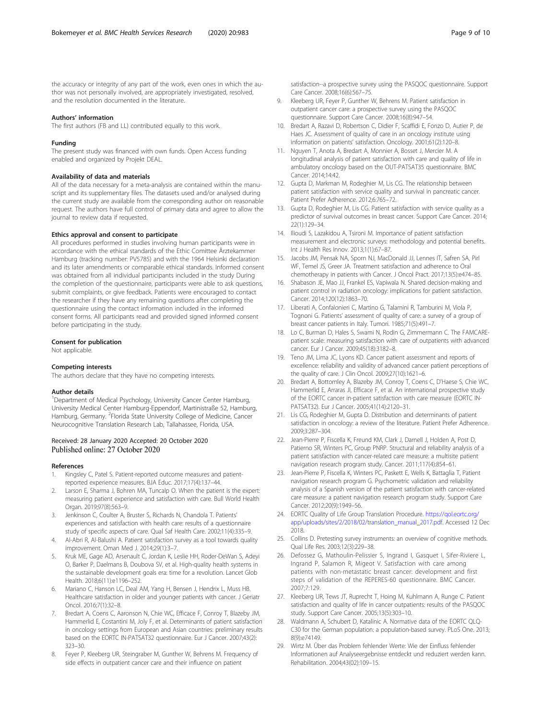<span id="page-8-0"></span>the accuracy or integrity of any part of the work, even ones in which the author was not personally involved, are appropriately investigated, resolved, and the resolution documented in the literature.

## Authors' information

The first authors (FB and LL) contributed equally to this work.

#### Funding

The present study was financed with own funds. Open Access funding enabled and organized by Projekt DEAL.

## Availability of data and materials

All of the data necessary for a meta-analysis are contained within the manuscript and its supplementary files. The datasets used and/or analysed during the current study are available from the corresponding author on reasonable request. The authors have full control of primary data and agree to allow the journal to review data if requested.

#### Ethics approval and consent to participate

All procedures performed in studies involving human participants were in accordance with the ethical standards of the Ethic Comittee Ärztekammer Hamburg (tracking number: PV5785) and with the 1964 Helsinki declaration and its later amendments or comparable ethical standards. Informed consent was obtained from all individual participants included in the study During the completion of the questionnaire, participants were able to ask questions, submit complaints, or give feedback. Patients were encouraged to contact the researcher if they have any remaining questions after completing the questionnaire using the contact information included in the informed consent forms. All participants read and provided signed informed consent before participating in the study.

## Consent for publication

Not applicable.

#### Competing interests

The authors declare that they have no competing interests.

#### Author details

<sup>1</sup>Department of Medical Psychology, University Cancer Center Hamburg, University Medical Center Hamburg-Eppendorf, Martinistraße 52, Hamburg, Hamburg, Germany. <sup>2</sup> Florida State University College of Medicine, Cancer Neurocognitive Translation Research Lab, Tallahassee, Florida, USA.

## Received: 28 January 2020 Accepted: 20 October 2020 Published online: 27 October 2020

#### References

- Kingsley C, Patel S. Patient-reported outcome measures and patientreported experience measures. BJA Educ. 2017;17(4):137–44.
- 2. Larson E, Sharma J, Bohren MA, Tuncalp O. When the patient is the expert: measuring patient experience and satisfaction with care. Bull World Health Organ. 2019;97(8):563–9.
- 3. Jenkinson C, Coulter A, Bruster S, Richards N, Chandola T. Patients' experiences and satisfaction with health care: results of a questionnaire study of specific aspects of care. Qual Saf Health Care. 2002;11(4):335–9.
- 4. Al-Abri R, Al-Balushi A. Patient satisfaction survey as a tool towards quality improvement. Oman Med J. 2014;29(1):3–7.
- Kruk ME, Gage AD, Arsenault C, Jordan K, Leslie HH, Roder-DeWan S, Adeyi O, Barker P, Daelmans B, Doubova SV, et al. High-quality health systems in the sustainable development goals era: time for a revolution. Lancet Glob Health. 2018;6(11):e1196–252.
- Mariano C, Hanson LC, Deal AM, Yang H, Bensen J, Hendrix L, Muss HB. Healthcare satisfaction in older and younger patients with cancer. J Geriatr Oncol. 2016;7(1):32–8.
- 7. Bredart A, Coens C, Aaronson N, Chie WC, Efficace F, Conroy T, Blazeby JM, Hammerlid E, Costantini M, Joly F, et al. Determinants of patient satisfaction in oncology settings from European and Asian countries: preliminary results based on the EORTC IN-PATSAT32 questionnaire. Eur J Cancer. 2007;43(2): 323–30.
- Feyer P, Kleeberg UR, Steingraber M, Gunther W, Behrens M. Frequency of side effects in outpatient cancer care and their influence on patient

satisfaction--a prospective survey using the PASQOC questionnaire. Support Care Cancer. 2008;16(6):567–75.

- 9. Kleeberg UR, Feyer P, Gunther W, Behrens M. Patient satisfaction in outpatient cancer care: a prospective survey using the PASQOC questionnaire. Support Care Cancer. 2008;16(8):947–54.
- 10. Bredart A, Razavi D, Robertson C, Didier F, Scaffidi E, Fonzo D, Autier P, de Haes JC. Assessment of quality of care in an oncology institute using information on patients' satisfaction. Oncology. 2001;61(2):120–8.
- 11. Nguyen T, Anota A, Bredart A, Monnier A, Bosset J, Mercier M. A longitudinal analysis of patient satisfaction with care and quality of life in ambulatory oncology based on the OUT-PATSAT35 questionnaire. BMC Cancer. 2014;14:42.
- 12. Gupta D, Markman M, Rodeghier M, Lis CG. The relationship between patient satisfaction with service quality and survival in pancreatic cancer. Patient Prefer Adherence. 2012;6:765–72.
- 13. Gupta D, Rodeghier M, Lis CG. Patient satisfaction with service quality as a predictor of survival outcomes in breast cancer. Support Care Cancer. 2014; 22(1):129–34.
- 14. Ilioudi S, Lazakidou A, Tsironi M. Importance of patient satisfaction measurement and electronic surveys: methodology and potential benefits. Int J Health Res Innov. 2013;1(1):67–87.
- 15. Jacobs JM, Pensak NA, Sporn NJ, MacDonald JJ, Lennes IT, Safren SA, Pirl WF, Temel JS, Greer JA. Treatment satisfaction and adherence to Oral chemotherapy in patients with Cancer. J Oncol Pract. 2017;13(5):e474–85.
- 16. Shabason JE, Mao JJ, Frankel ES, Vapiwala N. Shared decision-making and patient control in radiation oncology: implications for patient satisfaction. Cancer. 2014;120(12):1863–70.
- 17. Liberati A, Confalonieri C, Martino G, Talamini R, Tamburini M, Viola P, Tognoni G. Patients' assessment of quality of care: a survey of a group of breast cancer patients in Italy. Tumori. 1985;71(5):491–7.
- 18. Lo C, Burman D, Hales S, Swami N, Rodin G, Zimmermann C. The FAMCAREpatient scale: measuring satisfaction with care of outpatients with advanced cancer. Eur J Cancer. 2009;45(18):3182–8.
- 19. Teno JM, Lima JC, Lyons KD. Cancer patient assessment and reports of excellence: reliability and validity of advanced cancer patient perceptions of the quality of care. J Clin Oncol. 2009;27(10):1621–6.
- 20. Bredart A, Bottomley A, Blazeby JM, Conroy T, Coens C, D'Haese S, Chie WC, Hammerlid E, Arraras JI, Efficace F, et al. An international prospective study of the EORTC cancer in-patient satisfaction with care measure (EORTC IN-PATSAT32). Eur J Cancer. 2005;41(14):2120–31.
- 21. Lis CG, Rodeghier M, Gupta D. Distribution and determinants of patient satisfaction in oncology: a review of the literature. Patient Prefer Adherence. 2009;3:287–304.
- 22. Jean-Pierre P, Fiscella K, Freund KM, Clark J, Darnell J, Holden A, Post D, Patierno SR, Winters PC, Group PNRP. Structural and reliability analysis of a patient satisfaction with cancer-related care measure: a multisite patient navigation research program study. Cancer. 2011;117(4):854–61.
- 23. Jean-Pierre P, Fiscella K, Winters PC, Paskett E, Wells K, Battaglia T, Patient navigation research program G. Psychometric validation and reliability analysis of a Spanish version of the patient satisfaction with cancer-related care measure: a patient navigation research program study. Support Care Cancer. 2012;20(9):1949–56.
- 24. EORTC Quality of Life Group Translation Procedure. [https://qol.eortc.org/](https://qol.eortc.org/app/uploads/sites/2/2018/02/translation_manual_2017.pdf) [app/uploads/sites/2/2018/02/translation\\_manual\\_2017.pdf](https://qol.eortc.org/app/uploads/sites/2/2018/02/translation_manual_2017.pdf). Accessed 12 Dec 2018.
- 25. Collins D. Pretesting survey instruments: an overview of cognitive methods. Qual Life Res. 2003;12(3):229–38.
- 26. Defossez G, Mathoulin-Pelissier S, Ingrand I, Gasquet I, Sifer-Riviere L, Ingrand P, Salamon R, Migeot V. Satisfaction with care among patients with non-metastatic breast cancer: development and first steps of validation of the REPERES-60 questionnaire. BMC Cancer. 2007;7:129.
- 27. Kleeberg UR, Tews JT, Ruprecht T, Hoing M, Kuhlmann A, Runge C. Patient satisfaction and quality of life in cancer outpatients: results of the PASQOC study. Support Care Cancer. 2005;13(5):303–10.
- 28. Waldmann A, Schubert D, Katalinic A. Normative data of the EORTC QLQ-C30 for the German population: a population-based survey. PLoS One. 2013; 8(9):e74149.
- 29. Wirtz M. Über das Problem fehlender Werte: Wie der Einfluss fehlender Informationen auf Analyseergebnisse entdeckt und reduziert werden kann. Rehabilitation. 2004;43(02):109–15.